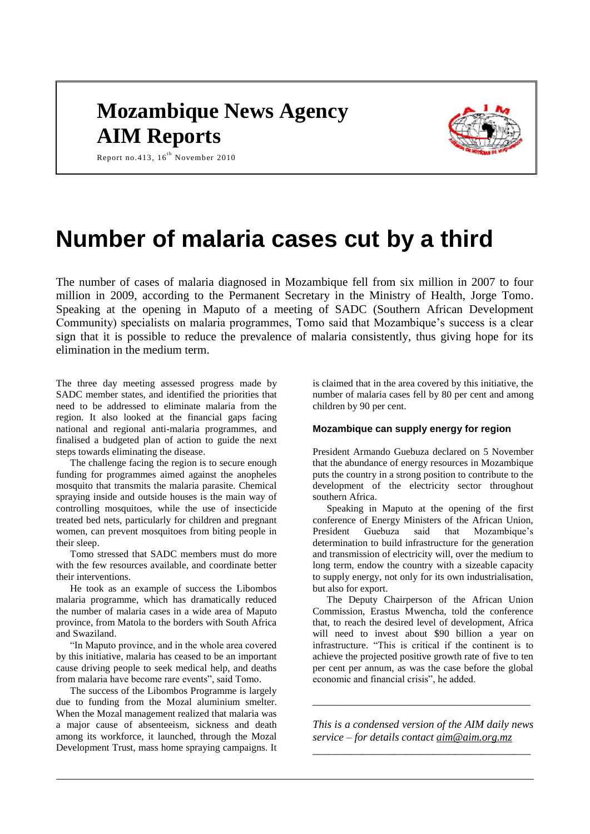# **Mozambique News Agency AIM Reports**



Report no.413,  $16^{th}$  November 2010

# **Number of malaria cases cut by a third**

The number of cases of malaria diagnosed in Mozambique fell from six million in 2007 to four million in 2009, according to the Permanent Secretary in the Ministry of Health, Jorge Tomo. Speaking at the opening in Maputo of a meeting of SADC (Southern African Development Community) specialists on malaria programmes, Tomo said that Mozambique's success is a clear sign that it is possible to reduce the prevalence of malaria consistently, thus giving hope for its elimination in the medium term.

The three day meeting assessed progress made by SADC member states, and identified the priorities that need to be addressed to eliminate malaria from the region. It also looked at the financial gaps facing national and regional anti-malaria programmes, and finalised a budgeted plan of action to guide the next steps towards eliminating the disease.

The challenge facing the region is to secure enough funding for programmes aimed against the anopheles mosquito that transmits the malaria parasite. Chemical spraying inside and outside houses is the main way of controlling mosquitoes, while the use of insecticide treated bed nets, particularly for children and pregnant women, can prevent mosquitoes from biting people in their sleep.

Tomo stressed that SADC members must do more with the few resources available, and coordinate better their interventions.

He took as an example of success the Libombos malaria programme, which has dramatically reduced the number of malaria cases in a wide area of Maputo province, from Matola to the borders with South Africa and Swaziland.

"In Maputo province, and in the whole area covered by this initiative, malaria has ceased to be an important cause driving people to seek medical help, and deaths from malaria have become rare events", said Tomo.

The success of the Libombos Programme is largely due to funding from the Mozal aluminium smelter. When the Mozal management realized that malaria was a major cause of absenteeism, sickness and death among its workforce, it launched, through the Mozal Development Trust, mass home spraying campaigns. It is claimed that in the area covered by this initiative, the number of malaria cases fell by 80 per cent and among children by 90 per cent.

# **Mozambique can supply energy for region**

President Armando Guebuza declared on 5 November that the abundance of energy resources in Mozambique puts the country in a strong position to contribute to the development of the electricity sector throughout southern Africa.

Speaking in Maputo at the opening of the first conference of Energy Ministers of the African Union, President Guebuza said that Mozambique's determination to build infrastructure for the generation and transmission of electricity will, over the medium to long term, endow the country with a sizeable capacity to supply energy, not only for its own industrialisation, but also for export.

The Deputy Chairperson of the African Union Commission, Erastus Mwencha, told the conference that, to reach the desired level of development, Africa will need to invest about \$90 billion a year on infrastructure. "This is critical if the continent is to achieve the projected positive growth rate of five to ten per cent per annum, as was the case before the global economic and financial crisis", he added.

*This is a condensed version of the AIM daily news service – for details contact [aim@aim.org.mz](mailto:aim@aim.org.mz)*

*\_\_\_\_\_\_\_\_\_\_\_\_\_\_\_\_\_\_\_\_\_\_\_\_\_\_\_\_\_\_\_\_\_\_\_\_\_\_\_\_*

\_\_\_\_\_\_\_\_\_\_\_\_\_\_\_\_\_\_\_\_\_\_\_\_\_\_\_\_\_\_\_\_\_\_\_\_\_\_\_\_\_\_\_\_\_\_\_\_\_\_\_\_\_\_\_\_\_\_\_\_\_\_\_\_\_\_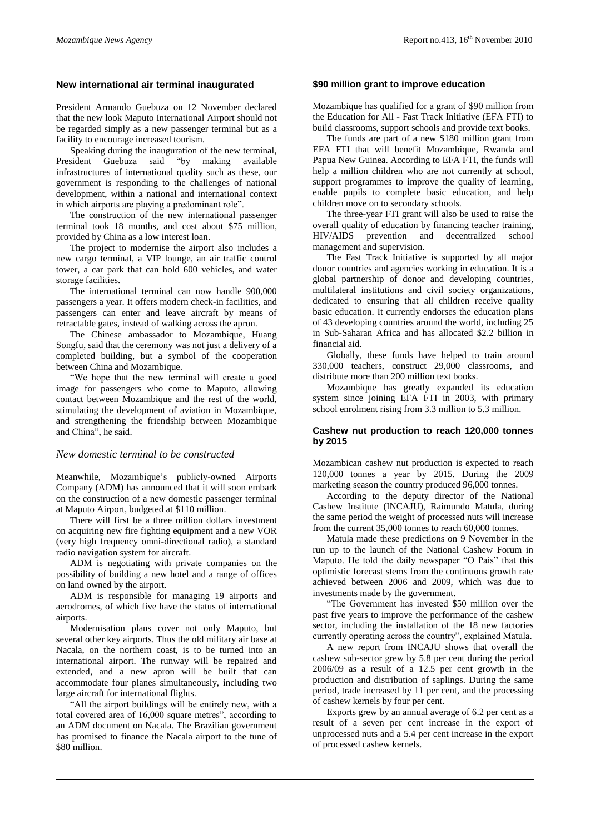# **New international air terminal inaugurated**

President Armando Guebuza on 12 November declared that the new look Maputo International Airport should not be regarded simply as a new passenger terminal but as a facility to encourage increased tourism.

Speaking during the inauguration of the new terminal, President Guebuza said "by making available infrastructures of international quality such as these, our government is responding to the challenges of national development, within a national and international context in which airports are playing a predominant role".

The construction of the new international passenger terminal took 18 months, and cost about \$75 million, provided by China as a low interest loan.

The project to modernise the airport also includes a new cargo terminal, a VIP lounge, an air traffic control tower, a car park that can hold 600 vehicles, and water storage facilities.

The international terminal can now handle 900,000 passengers a year. It offers modern check-in facilities, and passengers can enter and leave aircraft by means of retractable gates, instead of walking across the apron.

The Chinese ambassador to Mozambique, Huang Songfu, said that the ceremony was not just a delivery of a completed building, but a symbol of the cooperation between China and Mozambique.

"We hope that the new terminal will create a good image for passengers who come to Maputo, allowing contact between Mozambique and the rest of the world, stimulating the development of aviation in Mozambique, and strengthening the friendship between Mozambique and China", he said.

#### *New domestic terminal to be constructed*

Meanwhile, Mozambique's publicly-owned Airports Company (ADM) has announced that it will soon embark on the construction of a new domestic passenger terminal at Maputo Airport, budgeted at \$110 million.

There will first be a three million dollars investment on acquiring new fire fighting equipment and a new VOR (very high frequency omni-directional radio), a standard radio navigation system for aircraft.

ADM is negotiating with private companies on the possibility of building a new hotel and a range of offices on land owned by the airport.

ADM is responsible for managing 19 airports and aerodromes, of which five have the status of international airports.

Modernisation plans cover not only Maputo, but several other key airports. Thus the old military air base at Nacala, on the northern coast, is to be turned into an international airport. The runway will be repaired and extended, and a new apron will be built that can accommodate four planes simultaneously, including two large aircraft for international flights.

"All the airport buildings will be entirely new, with a total covered area of 16,000 square metres", according to an ADM document on Nacala. The Brazilian government has promised to finance the Nacala airport to the tune of \$80 million.

# **\$90 million grant to improve education**

Mozambique has qualified for a grant of \$90 million from the Education for All - Fast Track Initiative (EFA FTI) to build classrooms, support schools and provide text books.

The funds are part of a new \$180 million grant from EFA FTI that will benefit Mozambique, Rwanda and Papua New Guinea. According to EFA FTI, the funds will help a million children who are not currently at school, support programmes to improve the quality of learning, enable pupils to complete basic education, and help children move on to secondary schools.

The three-year FTI grant will also be used to raise the overall quality of education by financing teacher training, HIV/AIDS prevention and decentralized school management and supervision.

The Fast Track Initiative is supported by all major donor countries and agencies working in education. It is a global partnership of donor and developing countries, multilateral institutions and civil society organizations, dedicated to ensuring that all children receive quality basic education. It currently endorses the education plans of 43 developing countries around the world, including 25 in Sub-Saharan Africa and has allocated \$2.2 billion in financial aid.

Globally, these funds have helped to train around 330,000 teachers, construct 29,000 classrooms, and distribute more than 200 million text books.

Mozambique has greatly expanded its education system since joining EFA FTI in 2003, with primary school enrolment rising from 3.3 million to 5.3 million.

#### **Cashew nut production to reach 120,000 tonnes by 2015**

Mozambican cashew nut production is expected to reach 120,000 tonnes a year by 2015. During the 2009 marketing season the country produced 96,000 tonnes.

According to the deputy director of the National Cashew Institute (INCAJU), Raimundo Matula, during the same period the weight of processed nuts will increase from the current 35,000 tonnes to reach 60,000 tonnes.

Matula made these predictions on 9 November in the run up to the launch of the National Cashew Forum in Maputo. He told the daily newspaper "O Pais" that this optimistic forecast stems from the continuous growth rate achieved between 2006 and 2009, which was due to investments made by the government.

"The Government has invested \$50 million over the past five years to improve the performance of the cashew sector, including the installation of the 18 new factories currently operating across the country", explained Matula.

A new report from INCAJU shows that overall the cashew sub-sector grew by 5.8 per cent during the period 2006/09 as a result of a 12.5 per cent growth in the production and distribution of saplings. During the same period, trade increased by 11 per cent, and the processing of cashew kernels by four per cent.

Exports grew by an annual average of 6.2 per cent as a result of a seven per cent increase in the export of unprocessed nuts and a 5.4 per cent increase in the export of processed cashew kernels.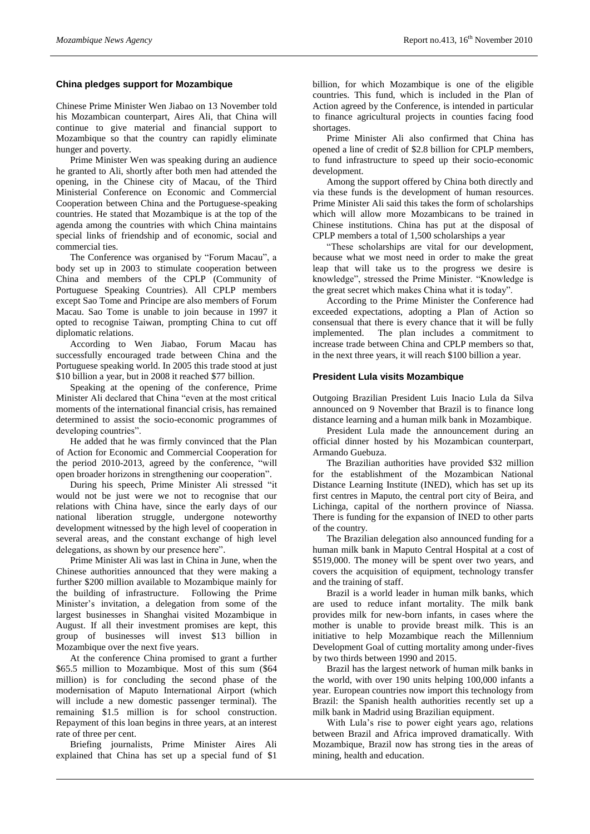# **China pledges support for Mozambique**

Chinese Prime Minister Wen Jiabao on 13 November told his Mozambican counterpart, Aires Ali, that China will continue to give material and financial support to Mozambique so that the country can rapidly eliminate hunger and poverty.

Prime Minister Wen was speaking during an audience he granted to Ali, shortly after both men had attended the opening, in the Chinese city of Macau, of the Third Ministerial Conference on Economic and Commercial Cooperation between China and the Portuguese-speaking countries. He stated that Mozambique is at the top of the agenda among the countries with which China maintains special links of friendship and of economic, social and commercial ties.

The Conference was organised by "Forum Macau", a body set up in 2003 to stimulate cooperation between China and members of the CPLP (Community of Portuguese Speaking Countries). All CPLP members except Sao Tome and Principe are also members of Forum Macau. Sao Tome is unable to join because in 1997 it opted to recognise Taiwan, prompting China to cut off diplomatic relations.

According to Wen Jiabao, Forum Macau has successfully encouraged trade between China and the Portuguese speaking world. In 2005 this trade stood at just \$10 billion a year, but in 2008 it reached \$77 billion.

Speaking at the opening of the conference, Prime Minister Ali declared that China "even at the most critical moments of the international financial crisis, has remained determined to assist the socio-economic programmes of developing countries".

He added that he was firmly convinced that the Plan of Action for Economic and Commercial Cooperation for the period 2010-2013, agreed by the conference, "will open broader horizons in strengthening our cooperation".

During his speech, Prime Minister Ali stressed "it would not be just were we not to recognise that our relations with China have, since the early days of our national liberation struggle, undergone noteworthy development witnessed by the high level of cooperation in several areas, and the constant exchange of high level delegations, as shown by our presence here".

Prime Minister Ali was last in China in June, when the Chinese authorities announced that they were making a further \$200 million available to Mozambique mainly for the building of infrastructure. Following the Prime Minister's invitation, a delegation from some of the largest businesses in Shanghai visited Mozambique in August. If all their investment promises are kept, this group of businesses will invest \$13 billion in Mozambique over the next five years.

At the conference China promised to grant a further \$65.5 million to Mozambique. Most of this sum (\$64 million) is for concluding the second phase of the modernisation of Maputo International Airport (which will include a new domestic passenger terminal). The remaining \$1.5 million is for school construction. Repayment of this loan begins in three years, at an interest rate of three per cent.

Briefing journalists, Prime Minister Aires Ali explained that China has set up a special fund of \$1

billion, for which Mozambique is one of the eligible countries. This fund, which is included in the Plan of Action agreed by the Conference, is intended in particular to finance agricultural projects in counties facing food shortages.

Prime Minister Ali also confirmed that China has opened a line of credit of \$2.8 billion for CPLP members, to fund infrastructure to speed up their socio-economic development.

Among the support offered by China both directly and via these funds is the development of human resources. Prime Minister Ali said this takes the form of scholarships which will allow more Mozambicans to be trained in Chinese institutions. China has put at the disposal of CPLP members a total of 1,500 scholarships a year

"These scholarships are vital for our development, because what we most need in order to make the great leap that will take us to the progress we desire is knowledge", stressed the Prime Minister. "Knowledge is the great secret which makes China what it is today".

According to the Prime Minister the Conference had exceeded expectations, adopting a Plan of Action so consensual that there is every chance that it will be fully implemented. The plan includes a commitment to increase trade between China and CPLP members so that, in the next three years, it will reach \$100 billion a year.

## **President Lula visits Mozambique**

Outgoing Brazilian President Luis Inacio Lula da Silva announced on 9 November that Brazil is to finance long distance learning and a human milk bank in Mozambique.

President Lula made the announcement during an official dinner hosted by his Mozambican counterpart, Armando Guebuza.

The Brazilian authorities have provided \$32 million for the establishment of the Mozambican National Distance Learning Institute (INED), which has set up its first centres in Maputo, the central port city of Beira, and Lichinga, capital of the northern province of Niassa. There is funding for the expansion of INED to other parts of the country.

The Brazilian delegation also announced funding for a human milk bank in Maputo Central Hospital at a cost of \$519,000. The money will be spent over two years, and covers the acquisition of equipment, technology transfer and the training of staff.

Brazil is a world leader in human milk banks, which are used to reduce infant mortality. The milk bank provides milk for new-born infants, in cases where the mother is unable to provide breast milk. This is an initiative to help Mozambique reach the Millennium Development Goal of cutting mortality among under-fives by two thirds between 1990 and 2015.

Brazil has the largest network of human milk banks in the world, with over 190 units helping 100,000 infants a year. European countries now import this technology from Brazil: the Spanish health authorities recently set up a milk bank in Madrid using Brazilian equipment.

With Lula's rise to power eight years ago, relations between Brazil and Africa improved dramatically. With Mozambique, Brazil now has strong ties in the areas of mining, health and education.